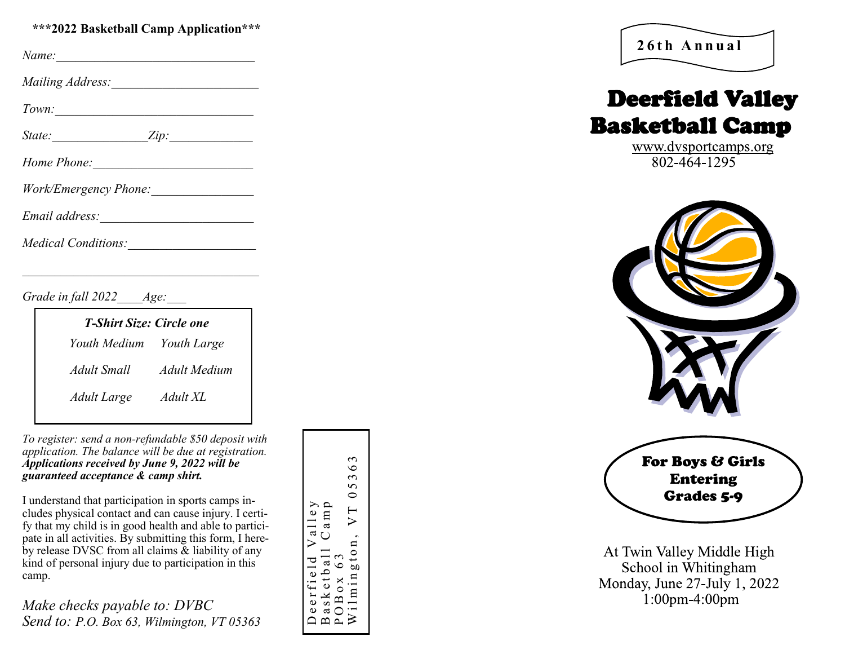## **\*\*\*2022 Basketball Camp Application\*\*\***

| Name: |
|-------|
|       |

*Mailing Address:* 

*Town:* 

| State: |  |
|--------|--|
|        |  |

| Work/Emergency Phone: |  |
|-----------------------|--|
|                       |  |

*Email address:\_\_\_\_\_\_\_\_\_\_\_\_\_\_\_\_\_\_\_\_\_\_\_\_*

*Medical Conditions:* 

*Grade in fall 2022 Age:* 

| <b>T-Shirt Size: Circle one</b> |              |  |
|---------------------------------|--------------|--|
| Youth Medium Youth Large        |              |  |
| Adult Small                     | Adult Medium |  |
| Adult Large                     | Adult XL     |  |
|                                 |              |  |

*To register: send a non -refundable \$50 deposit with application. The balance will be due at registration. Applications received by June 9, 2022 will be guaranteed acceptance & camp shirt.*

I understand that participation in sports camps includes physical contact and can cause injury. I certify that my child is in good health and able to participate in all activities. By submitting this form, I hereby release DVSC from all claims & liability of any kind of personal injury due to participation in this camp.

*Make checks payable to: DVBC Send to: P.O. Box 63, Wilmington, VT 05363* Deerfield Valley<br>Basketball Camp<br>POBox 63<br>Wilmington, VT 05363



# Deerfield Valley Basketball Camp

www.dvsportcamps.org  $802 - 464 - 1295$ 



At Twin Valley Middle High School in Whitingham Monday, June 27-July 1, 2022  $1:00$ pm-4:00pm